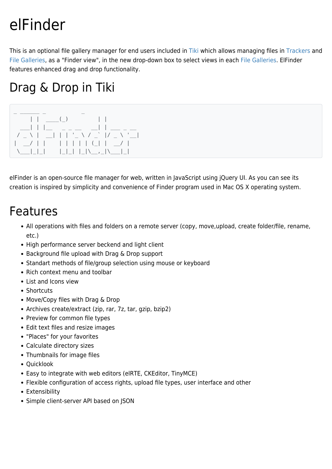# elFinder

This is an optional file gallery manager for end users included in [Tiki](https://tiki.org) which allows managing files in [Trackers](https://doc.tiki.org/Trackers) and [File Galleries,](https://doc.tiki.org/File-Gallery) as a "Finder view", in the new drop-down box to select views in each [File Galleries.](https://doc.tiki.org/File-Gallery) ElFinder features enhanced drag and drop functionality.

## Drag & Drop in Tiki



elFinder is an open-source file manager for web, written in JavaScript using jQuery UI. As you can see its creation is inspired by simplicity and convenience of Finder program used in Mac OS X operating system.

#### Features

- All operations with files and folders on a remote server (copy, move,upload, create folder/file, rename, etc.)
- High performance server beckend and light client
- Background file upload with Drag & Drop support
- Standart methods of file/group selection using mouse or keyboard
- Rich context menu and toolbar
- List and Icons view
- Shortcuts
- Move/Copy files with Drag & Drop
- Archives create/extract (zip, rar, 7z, tar, gzip, bzip2)
- Preview for common file types
- Edit text files and resize images
- "Places" for your favorites
- Calculate directory sizes
- Thumbnails for image files
- Quicklook
- Easy to integrate with web editors (elRTE, CKEditor, TinyMCE)
- Flexible configuration of access rights, upload file types, user interface and other
- Extensibility
- Simple client-server API based on JSON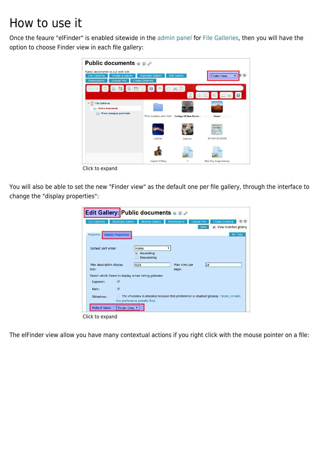#### How to use it

Once the feaure "elFinder" is enabled sitewide in the [admin panel](https://doc.tiki.org/Admin-Home) for [File Galleries,](https://doc.tiki.org/File-Gallery) then you will have the option to choose Finder view in each file gallery:

| <b>Public documents <math>\bullet</math> p</b>                                                                                                                                                 |                            |                             |                                       |
|------------------------------------------------------------------------------------------------------------------------------------------------------------------------------------------------|----------------------------|-----------------------------|---------------------------------------|
| Public documents in our web site<br><b>Edit Gallery</b><br><b>List Galleries</b><br><b>Duplicate Gallery</b><br>Create a Gallery<br><b>Upload File</b><br><b>Create Drawing</b><br>Permissions |                            |                             | <b>Finder View</b><br>▼.              |
| OBR<br><b>JE</b><br>$\mathbb{R}$                                                                                                                                                               |                            | DXD                         | 肩<br>a z <br>$\blacksquare$           |
| $\sqrt{2}$ File Galleries                                                                                                                                                                      |                            |                             |                                       |
| <b>Public documents</b>                                                                                                                                                                        |                            |                             |                                       |
| Photo (category perm test)                                                                                                                                                                     | Photo (category perm test) | <b>College Of New Bruns</b> | <b>Desert</b>                         |
|                                                                                                                                                                                                |                            |                             | 图画画<br>and PD<br>unial chi<br>SO brun |
|                                                                                                                                                                                                | Jellyfish                  | <i>ivgivuvu</i>             | 2013 04 30 231230                     |
|                                                                                                                                                                                                |                            |                             |                                       |
|                                                                                                                                                                                                | <b>Vagrant Chilling</b>    |                             | New Svg Image drawing                 |

Click to expand

You will also be able to set the new "Finder view" as the default one per file gallery, through the interface to change the "display properties":

| <b>Edit Gallery: Public documents @ Defter</b>                                                                                        |                                                                                                  |  |  |
|---------------------------------------------------------------------------------------------------------------------------------------|--------------------------------------------------------------------------------------------------|--|--|
| <b>List Galleries</b><br><b>Duplicate Gallery</b>                                                                                     | <b>Browse Gallery</b><br><b>Upload File</b><br><b>Create Drawing</b><br>OT<br><b>Permissions</b> |  |  |
|                                                                                                                                       | Save<br>View inserted gallery                                                                    |  |  |
| Properties   Display Properties                                                                                                       | No Tabs                                                                                          |  |  |
| Default sort order:                                                                                                                   | Name<br>7<br>Ascending<br><b>Descending</b>                                                      |  |  |
| 1024<br>Max description display<br>size:                                                                                              | 24<br>Max rows per<br>page:                                                                      |  |  |
| Select which items to display when listing galleries:                                                                                 |                                                                                                  |  |  |
| $\left  \bullet \right $<br>Explorer:                                                                                                 |                                                                                                  |  |  |
| $\bullet$<br>Path:                                                                                                                    |                                                                                                  |  |  |
| The checkbox is disabled because this preference is disabled globally. Please, enable<br>Slideshow:<br>the preference globally first. |                                                                                                  |  |  |
| Default View:<br>Finder View ▼                                                                                                        |                                                                                                  |  |  |
| Click to expand                                                                                                                       |                                                                                                  |  |  |

The elFinder view allow you have many contextual actions if you right click with the mouse pointer on a file: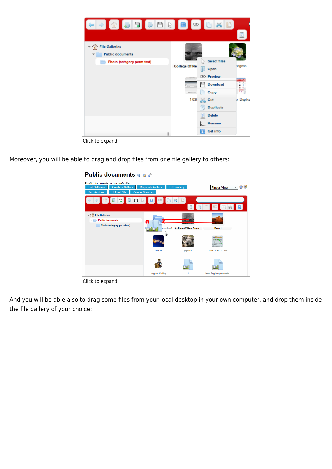

Click to expand

Moreover, you will be able to drag and drop files from one file gallery to others:



Click to expand

And you will be able also to drag some files from your local desktop in your own computer, and drop them inside the file gallery of your choice: